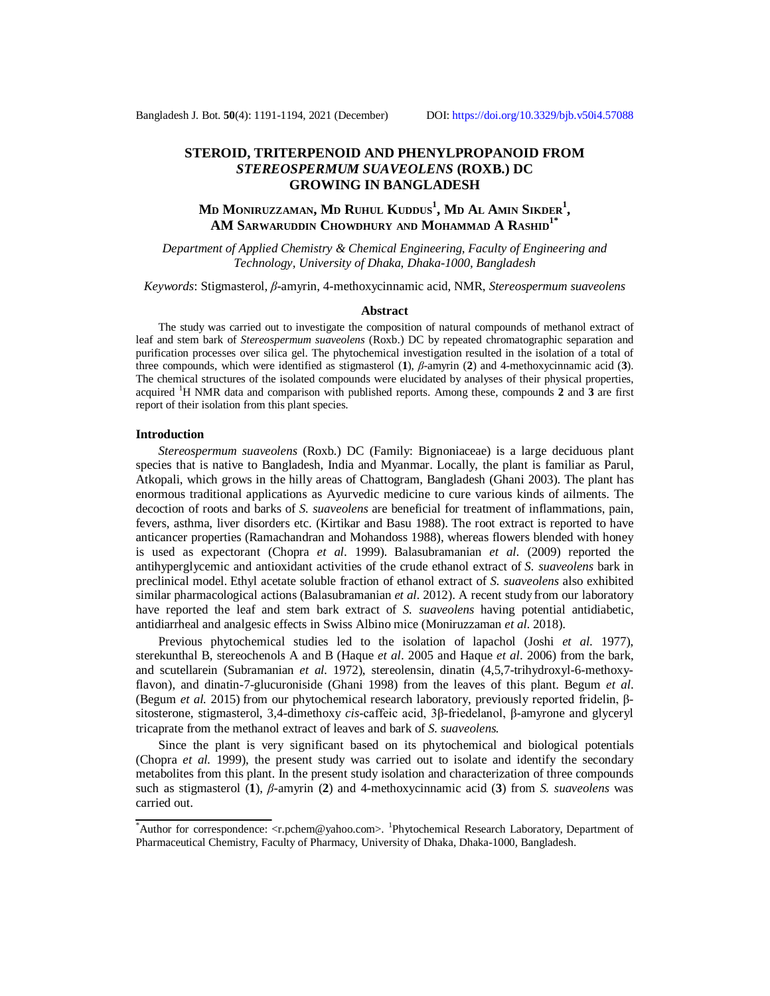# **STEROID, TRITERPENOID AND PHENYLPROPANOID FROM**  *STEREOSPERMUM SUAVEOLENS* **(ROXB.) DC GROWING IN BANGLADESH**

# **M<sup>D</sup> MONIRUZZAMAN, M<sup>D</sup> RUHUL KUDDUS<sup>1</sup> , M<sup>D</sup> A<sup>L</sup> AMIN SIKDER<sup>1</sup> , AM SARWARUDDIN CHOWDHURY AND MOHAMMAD A RASHID1\***

*Department of Applied Chemistry & Chemical Engineering, Faculty of Engineering and Technology, University of Dhaka, Dhaka-1000, Bangladesh*

*Keywords*: Stigmasterol, *β*-amyrin, 4-methoxycinnamic acid, NMR, *Stereospermum suaveolens*

#### **Abstract**

The study was carried out to investigate the composition of natural compounds of methanol extract of leaf and stem bark of *Stereospermum suaveolens* (Roxb.) DC by repeated chromatographic separation and purification processes over silica gel. The phytochemical investigation resulted in the isolation of a total of three compounds, which were identified as stigmasterol (**1**), *β*-amyrin (**2**) and 4-methoxycinnamic acid (**3**). The chemical structures of the isolated compounds were elucidated by analyses of their physical properties, acquired <sup>1</sup>H NMR data and comparison with published reports. Among these, compounds **2** and **3** are first report of their isolation from this plant species.

### **Introduction**

*Stereospermum suaveolens* (Roxb.) DC (Family: Bignoniaceae) is a large deciduous plant species that is native to Bangladesh, India and Myanmar. Locally, the plant is familiar as Parul, Atkopali, which grows in the hilly areas of Chattogram, Bangladesh (Ghani 2003). The plant has enormous traditional applications as Ayurvedic medicine to cure various kinds of ailments. The decoction of roots and barks of *S. suaveolens* are beneficial for treatment of inflammations, pain, fevers, asthma, liver disorders etc. (Kirtikar and Basu 1988). The root extract is reported to have anticancer properties (Ramachandran and Mohandoss 1988), whereas flowers blended with honey is used as expectorant (Chopra *et al*. 1999). Balasubramanian *et al*. (2009) reported the antihyperglycemic and antioxidant activities of the crude ethanol extract of *S. suaveolens* bark in preclinical model. Ethyl acetate soluble fraction of ethanol extract of *S. suaveolens* also exhibited similar pharmacological actions (Balasubramanian *et al.* 2012). A recent study from our laboratory have reported the leaf and stem bark extract of *S. suaveolens* having potential antidiabetic, antidiarrheal and analgesic effects in Swiss Albino mice (Moniruzzaman *et al*. 2018).

Previous phytochemical studies led to the isolation of lapachol (Joshi *et al*. 1977), sterekunthal B, stereochenols A and B (Haque *et al*. 2005 and Haque *et al*. 2006) from the bark, and scutellarein (Subramanian *et al.* 1972), stereolensin, dinatin (4,5,7-trihydroxyl-6-methoxyflavon), and dinatin-7-glucuroniside (Ghani 1998) from the leaves of this plant. Begum *et al*. (Begum *et al.* 2015) from our phytochemical research laboratory, previously reported fridelin, βsitosterone, stigmasterol, 3,4-dimethoxy *cis*-caffeic acid, 3β-friedelanol, β-amyrone and glyceryl tricaprate from the methanol extract of leaves and bark of *S. suaveolens.*

Since the plant is very significant based on its phytochemical and biological potentials (Chopra *et al.* 1999), the present study was carried out to isolate and identify the secondary metabolites from this plant. In the present study isolation and characterization of three compounds such as stigmasterol (**1**), *β*-amyrin (**2**) and 4-methoxycinnamic acid (**3**) from *S. suaveolens* was carried out.

<sup>\*</sup>Author for correspondence: [<r.pchem@yahoo.com>](mailto:r.pchem@yahoo.com). <sup>1</sup>Phytochemical Research Laboratory, Department of Pharmaceutical Chemistry, Faculty of Pharmacy, University of Dhaka, Dhaka-1000, Bangladesh.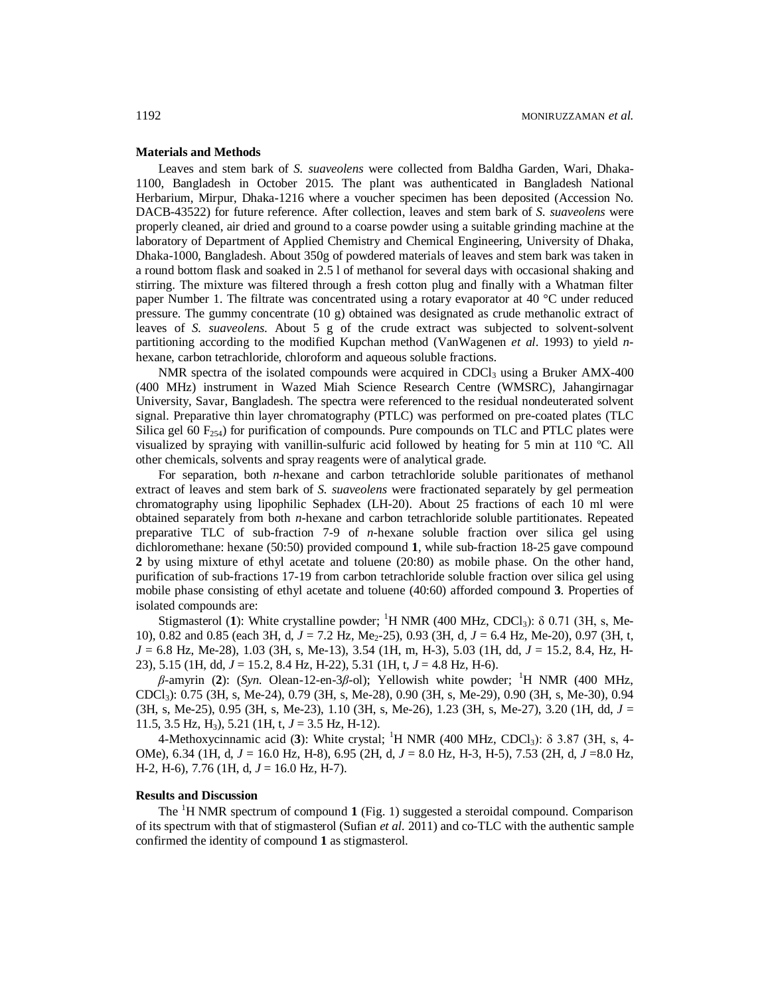### **Materials and Methods**

Leaves and stem bark of *S. suaveolens* were collected from Baldha Garden, Wari, Dhaka-1100, Bangladesh in October 2015. The plant was authenticated in Bangladesh National Herbarium, Mirpur, Dhaka-1216 where a voucher specimen has been deposited (Accession No. DACB-43522) for future reference. After collection, leaves and stem bark of *S. suaveolens* were properly cleaned, air dried and ground to a coarse powder using a suitable grinding machine at the laboratory of Department of Applied Chemistry and Chemical Engineering, University of Dhaka, Dhaka-1000, Bangladesh. About 350g of powdered materials of leaves and stem bark was taken in a round bottom flask and soaked in 2.5 l of methanol for several days with occasional shaking and stirring. The mixture was filtered through a fresh cotton plug and finally with a Whatman filter paper Number 1. The filtrate was concentrated using a rotary evaporator at 40 °C under reduced pressure. The gummy concentrate (10 g) obtained was designated as crude methanolic extract of leaves of *S. suaveolens*. About 5 g of the crude extract was subjected to solvent-solvent partitioning according to the modified Kupchan method (VanWagenen *et al*. 1993) to yield *n*hexane, carbon tetrachloride, chloroform and aqueous soluble fractions.

NMR spectra of the isolated compounds were acquired in CDCl<sub>3</sub> using a Bruker AMX-400 (400 MHz) instrument in Wazed Miah Science Research Centre (WMSRC), Jahangirnagar University, Savar, Bangladesh. The spectra were referenced to the residual nondeuterated solvent signal. Preparative thin layer chromatography (PTLC) was performed on pre-coated plates (TLC Silica gel 60  $F_{254}$ ) for purification of compounds. Pure compounds on TLC and PTLC plates were visualized by spraying with vanillin-sulfuric acid followed by heating for 5 min at 110 ºC. All other chemicals, solvents and spray reagents were of analytical grade.

For separation, both *n*-hexane and carbon tetrachloride soluble paritionates of methanol extract of leaves and stem bark of *S. suaveolens* were fractionated separately by gel permeation chromatography using lipophilic Sephadex (LH-20). About 25 fractions of each 10 ml were obtained separately from both *n*-hexane and carbon tetrachloride soluble partitionates. Repeated preparative TLC of sub-fraction 7-9 of *n*-hexane soluble fraction over silica gel using dichloromethane: hexane (50:50) provided compound **1**, while sub-fraction 18-25 gave compound **2** by using mixture of ethyl acetate and toluene (20:80) as mobile phase. On the other hand, purification of sub-fractions 17-19 from carbon tetrachloride soluble fraction over silica gel using mobile phase consisting of ethyl acetate and toluene (40:60) afforded compound **3**. Properties of isolated compounds are:

Stigmasterol (1): White crystalline powder; <sup>1</sup>H NMR (400 MHz, CDCl<sub>3</sub>):  $\delta$  0.71 (3H, s, Me-10), 0.82 and 0.85 (each 3H, d,  $J = 7.2$  Hz, Me<sub>2</sub>-25), 0.93 (3H, d,  $J = 6.4$  Hz, Me-20), 0.97 (3H, t, *J* = 6.8 Hz, Me-28), 1.03 (3H, s, Me-13), 3.54 (1H, m, H-3), 5.03 (1H, dd, *J* = 15.2, 8.4, Hz, H-23), 5.15 (1H, dd, *J* = 15.2, 8.4 Hz, H-22), 5.31 (1H, t, *J* = 4.8 Hz, H-6).

*β*-amyrin (**2**): (*Syn*. Olean-12-en-3*β*-ol); Yellowish white powder; <sup>1</sup>H NMR (400 MHz, CDCl3): 0.75 (3H, s, Me-24), 0.79 (3H, s, Me-28), 0.90 (3H, s, Me-29), 0.90 (3H, s, Me-30), 0.94 (3H, s, Me-25), 0.95 (3H, s, Me-23), 1.10 (3H, s, Me-26), 1.23 (3H, s, Me-27), 3.20 (1H, dd, *J* = 11.5, 3.5 Hz, H<sub>3</sub>), 5.21 (1H, t,  $J = 3.5$  Hz, H-12).

4-Methoxycinnamic acid (**3**): White crystal; <sup>1</sup>H NMR (400 MHz, CDCl3): δ 3.87 (3H, s, 4- OMe), 6.34 (1H, d, *J* = 16.0 Hz, H-8), 6.95 (2H, d, *J* = 8.0 Hz, H-3, H-5), 7.53 (2H, d, *J* =8.0 Hz, H-2, H-6), 7.76 (1H, d, *J* = 16.0 Hz, H-7).

## **Results and Discussion**

The <sup>1</sup>H NMR spectrum of compound **1** (Fig. 1) suggested a steroidal compound. Comparison of its spectrum with that of stigmasterol (Sufian *et al.* 2011) and co-TLC with the authentic sample confirmed the identity of compound **1** as stigmasterol.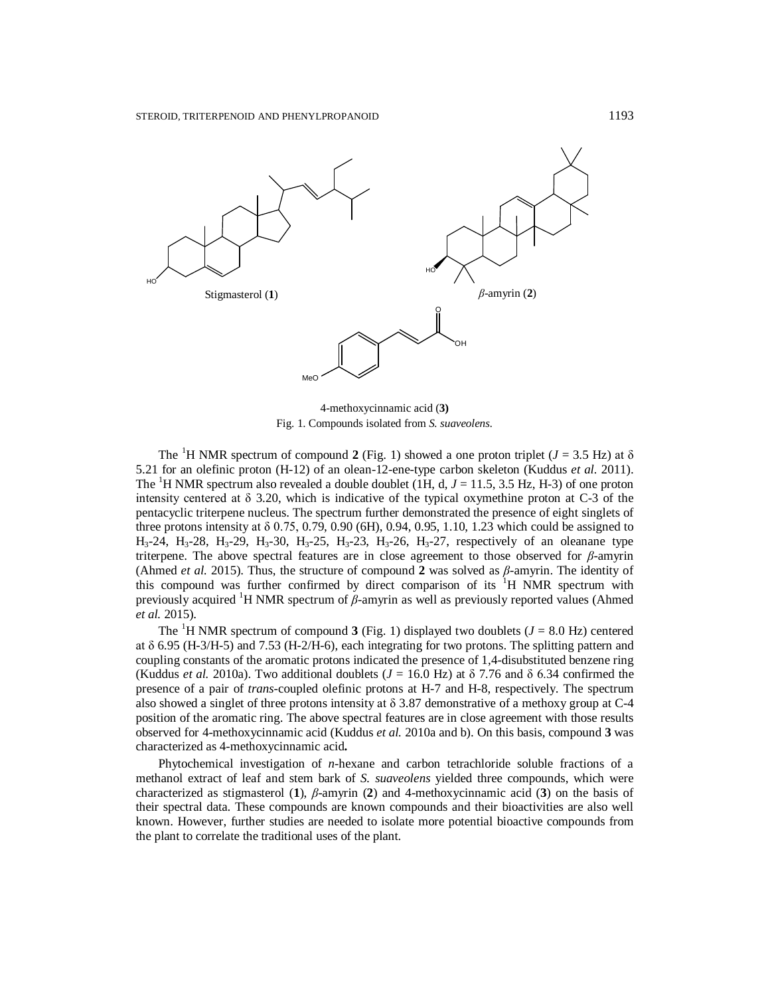

4-methoxycinnamic acid (**3)** Fig. 1. Compounds isolated from *S. suaveolens.*

The <sup>1</sup>H NMR spectrum of compound **2** (Fig. 1) showed a one proton triplet ( $J = 3.5$  Hz) at  $\delta$ 5.21 for an olefinic proton (H-12) of an olean-12-ene-type carbon skeleton (Kuddus *et al.* 2011). The <sup>1</sup>H NMR spectrum also revealed a double doublet (1H, d,  $J = 11.5, 3.5$  Hz, H-3) of one proton intensity centered at δ 3.20, which is indicative of the typical oxymethine proton at C-3 of the pentacyclic triterpene nucleus. The spectrum further demonstrated the presence of eight singlets of three protons intensity at  $\delta$  0.75, 0.79, 0.90 (6H), 0.94, 0.95, 1.10, 1.23 which could be assigned to  $H_3-24$ ,  $H_3-28$ ,  $H_3-29$ ,  $H_3-30$ ,  $H_3-25$ ,  $H_3-23$ ,  $H_3-26$ ,  $H_3-27$ , respectively of an oleanane type triterpene. The above spectral features are in close agreement to those observed for *β*-amyrin (Ahmed *et al.* 2015). Thus, the structure of compound **2** was solved as *β*-amyrin. The identity of this compound was further confirmed by direct comparison of its  ${}^{1}H$  NMR spectrum with previously acquired <sup>1</sup>H NMR spectrum of *β*-amyrin as well as previously reported values (Ahmed *et al.* 2015).

The <sup>1</sup>H NMR spectrum of compound **3** (Fig. 1) displayed two doublets ( $J = 8.0$  Hz) centered at  $\delta$  6.95 (H-3/H-5) and 7.53 (H-2/H-6), each integrating for two protons. The splitting pattern and coupling constants of the aromatic protons indicated the presence of 1,4-disubstituted benzene ring (Kuddus *et al.* 2010a). Two additional doublets ( $J = 16.0$  Hz) at  $\delta$  7.76 and  $\delta$  6.34 confirmed the presence of a pair of *trans-*coupled olefinic protons at H-7 and H-8, respectively. The spectrum also showed a singlet of three protons intensity at  $\delta$  3.87 demonstrative of a methoxy group at C-4 position of the aromatic ring. The above spectral features are in close agreement with those results observed for 4-methoxycinnamic acid (Kuddus *et al.* 2010a and b). On this basis, compound **3** was characterized as 4-methoxycinnamic acid**.**

Phytochemical investigation of *n*-hexane and carbon tetrachloride soluble fractions of a methanol extract of leaf and stem bark of *S. suaveolens* yielded three compounds, which were characterized as stigmasterol (**1**), *β*-amyrin (**2**) and 4-methoxycinnamic acid (**3**) on the basis of their spectral data. These compounds are known compounds and their bioactivities are also well known. However, further studies are needed to isolate more potential bioactive compounds from the plant to correlate the traditional uses of the plant.